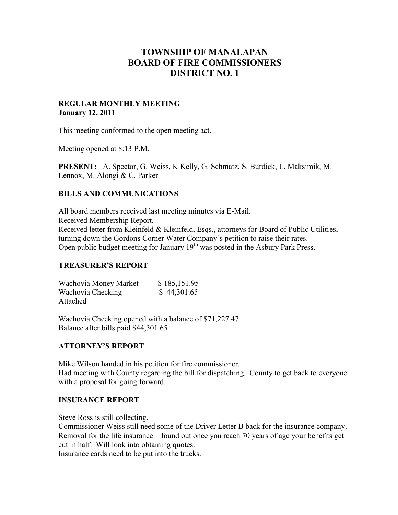# **TOWNSHIP OF MANALAPAN BOARD OF FIRE COMMISSIONERS DISTRICT NO. 1**

### **REGULAR MONTHLY MEETING January 12, 2011**

This meeting conformed to the open meeting act.

Meeting opened at 8:13 P.M.

**PRESENT:** A. Spector, G. Weiss, K Kelly, G. Schmatz, S. Burdick, L. Maksimik, M. Lennox, M. Alongi & C. Parker

### **BILLS AND COMMUNICATIONS**

All board members received last meeting minutes via E-Mail. Received Membership Report. Received letter from Kleinfeld & Kleinfeld, Esgs., attorneys for Board of Public Utilities, turning down the Gordons Corner Water Company's petition to raise their rates. Open public budget meeting for January 19<sup>th</sup> was posted in the Asbury Park Press.

### **TREASURER'S REPORT**

| Wachovia Money Market | \$185,151.95 |
|-----------------------|--------------|
| Wachovia Checking     | \$44,301.65  |
| Attached              |              |

Wachovia Checking opened with a balance of \$71,227.47 Balance after bills paid \$44,301.65

# **ATTORNEY'S REPORT**

Mike Wilson handed in his petition for fire commissioner. Had meeting with County regarding the bill for dispatching. County to get back to everyone with a proposal for going forward.

### **INSURANCE REPORT**

Steve Ross is still collecting.

Commissioner Weiss still need some of the Driver Letter B back for the insurance company. Removal for the life insurance – found out once you reach 70 years of age your benefits get cut in half. Will look into obtaining quotes.

Insurance cards need to be put into the trucks.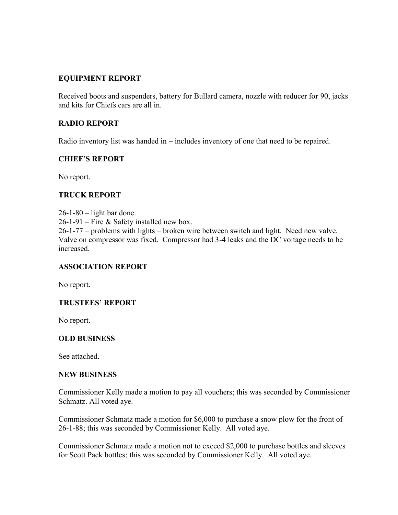# **EQUIPMENT REPORT**

Received boots and suspenders, battery for Bullard camera, nozzle with reducer for 90, jacks and kits for Chiefs cars are all in.

# **RADIO REPORT**

Radio inventory list was handed in – includes inventory of one that need to be repaired.

# **CHIEF'S REPORT**

No report.

# **TRUCK REPORT**

 $26-1-80$  – light bar done. 26-1-91 – Fire & Safety installed new box. 26-1-77 – problems with lights – broken wire between switch and light. Need new valve. Valve on compressor was fixed. Compressor had 3-4 leaks and the DC voltage needs to be increased.

# **ASSOCIATION REPORT**

No report.

# **TRUSTEES' REPORT**

No report.

# **OLD BUSINESS**

See attached.

### **NEW BUSINESS**

Commissioner Kelly made a motion to pay all vouchers; this was seconded by Commissioner Schmatz. All voted aye.

Commissioner Schmatz made a motion for \$6,000 to purchase a snow plow for the front of 26-1-88; this was seconded by Commissioner Kelly. All voted aye.

Commissioner Schmatz made a motion not to exceed \$2,000 to purchase bottles and sleeves for Scott Pack bottles; this was seconded by Commissioner Kelly. All voted aye.